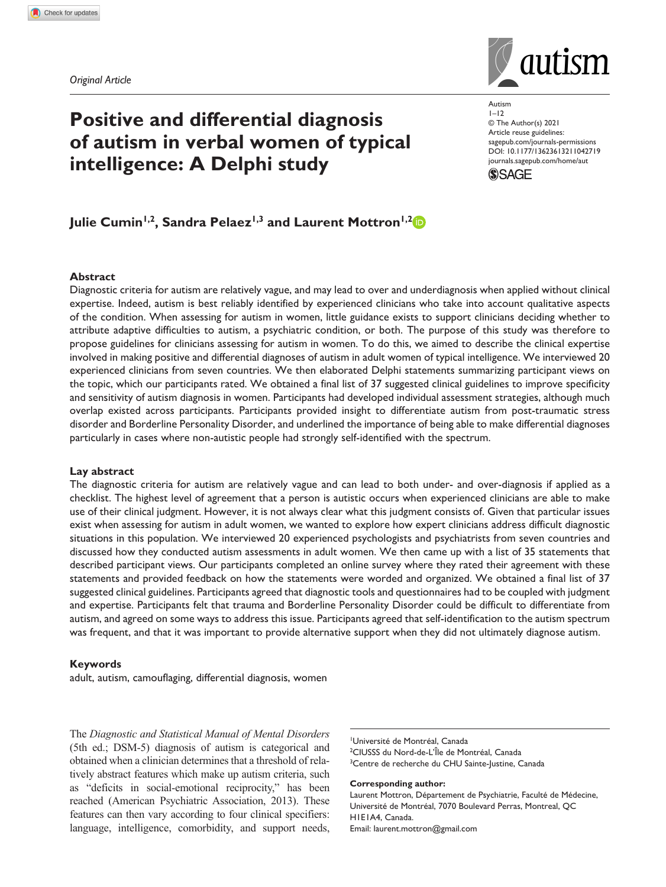*Original Article*

# **Positive and differential diagnosis of autism in verbal women of typical intelligence: A Delphi study**



https://doi.org/10.1177/13623613211042719 DOI: 10.1177/13623613211042719 Autism  $1 - 12$ © The Author(s) 2021 Article reuse guidelines: [sagepub.com/journals-permissions](https://uk.sagepub.com/en-gb/journals-permissions) [journals.sagepub.com/home/aut](https://journals.sagepub.com/home/aut)



## Julie Cumin<sup>1,2</sup>, Sandra Pelaez<sup>1,3</sup> and Laurent Mottron<sup>1,2</sup>

## **Abstract**

Diagnostic criteria for autism are relatively vague, and may lead to over and underdiagnosis when applied without clinical expertise. Indeed, autism is best reliably identified by experienced clinicians who take into account qualitative aspects of the condition. When assessing for autism in women, little guidance exists to support clinicians deciding whether to attribute adaptive difficulties to autism, a psychiatric condition, or both. The purpose of this study was therefore to propose guidelines for clinicians assessing for autism in women. To do this, we aimed to describe the clinical expertise involved in making positive and differential diagnoses of autism in adult women of typical intelligence. We interviewed 20 experienced clinicians from seven countries. We then elaborated Delphi statements summarizing participant views on the topic, which our participants rated. We obtained a final list of 37 suggested clinical guidelines to improve specificity and sensitivity of autism diagnosis in women. Participants had developed individual assessment strategies, although much overlap existed across participants. Participants provided insight to differentiate autism from post-traumatic stress disorder and Borderline Personality Disorder, and underlined the importance of being able to make differential diagnoses particularly in cases where non-autistic people had strongly self-identified with the spectrum.

## **Lay abstract**

The diagnostic criteria for autism are relatively vague and can lead to both under- and over-diagnosis if applied as a checklist. The highest level of agreement that a person is autistic occurs when experienced clinicians are able to make use of their clinical judgment. However, it is not always clear what this judgment consists of. Given that particular issues exist when assessing for autism in adult women, we wanted to explore how expert clinicians address difficult diagnostic situations in this population. We interviewed 20 experienced psychologists and psychiatrists from seven countries and discussed how they conducted autism assessments in adult women. We then came up with a list of 35 statements that described participant views. Our participants completed an online survey where they rated their agreement with these statements and provided feedback on how the statements were worded and organized. We obtained a final list of 37 suggested clinical guidelines. Participants agreed that diagnostic tools and questionnaires had to be coupled with judgment and expertise. Participants felt that trauma and Borderline Personality Disorder could be difficult to differentiate from autism, and agreed on some ways to address this issue. Participants agreed that self-identification to the autism spectrum was frequent, and that it was important to provide alternative support when they did not ultimately diagnose autism.

## **Keywords**

adult, autism, camouflaging, differential diagnosis, women

The *Diagnostic and Statistical Manual of Mental Disorders* (5th ed.; DSM-5) diagnosis of autism is categorical and obtained when a clinician determines that a threshold of relatively abstract features which make up autism criteria, such as "deficits in social-emotional reciprocity," has been reached (American Psychiatric Association, 2013). These features can then vary according to four clinical specifiers: language, intelligence, comorbidity, and support needs,

1 Université de Montréal, Canada 2 CIUSSS du Nord-de-L'Île de Montréal, Canada <sup>3</sup>Centre de recherche du CHU Sainte-Justine, Canada

**Corresponding author:**

Laurent Mottron, Département de Psychiatrie, Faculté de Médecine, Université de Montréal, 7070 Boulevard Perras, Montreal, QC H1E1A4, Canada. Email: [laurent.mottron@gmail.com](mailto:laurent.mottron@gmail.com)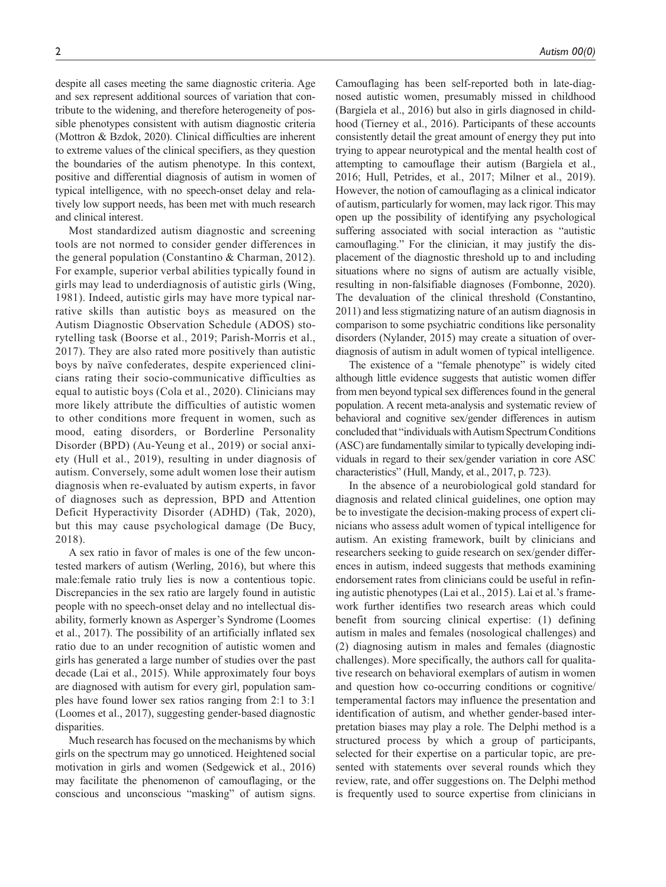despite all cases meeting the same diagnostic criteria. Age and sex represent additional sources of variation that contribute to the widening, and therefore heterogeneity of possible phenotypes consistent with autism diagnostic criteria (Mottron & Bzdok, 2020). Clinical difficulties are inherent to extreme values of the clinical specifiers, as they question the boundaries of the autism phenotype. In this context, positive and differential diagnosis of autism in women of typical intelligence, with no speech-onset delay and relatively low support needs, has been met with much research and clinical interest.

Most standardized autism diagnostic and screening tools are not normed to consider gender differences in the general population (Constantino & Charman, 2012). For example, superior verbal abilities typically found in girls may lead to underdiagnosis of autistic girls (Wing, 1981). Indeed, autistic girls may have more typical narrative skills than autistic boys as measured on the Autism Diagnostic Observation Schedule (ADOS) storytelling task (Boorse et al., 2019; Parish-Morris et al., 2017). They are also rated more positively than autistic boys by naïve confederates, despite experienced clinicians rating their socio-communicative difficulties as equal to autistic boys (Cola et al., 2020). Clinicians may more likely attribute the difficulties of autistic women to other conditions more frequent in women, such as mood, eating disorders, or Borderline Personality Disorder (BPD) (Au-Yeung et al., 2019) or social anxiety (Hull et al., 2019), resulting in under diagnosis of autism. Conversely, some adult women lose their autism diagnosis when re-evaluated by autism experts, in favor of diagnoses such as depression, BPD and Attention Deficit Hyperactivity Disorder (ADHD) (Tak, 2020), but this may cause psychological damage (De Bucy, 2018).

A sex ratio in favor of males is one of the few uncontested markers of autism (Werling, 2016), but where this male:female ratio truly lies is now a contentious topic. Discrepancies in the sex ratio are largely found in autistic people with no speech-onset delay and no intellectual disability, formerly known as Asperger's Syndrome (Loomes et al., 2017). The possibility of an artificially inflated sex ratio due to an under recognition of autistic women and girls has generated a large number of studies over the past decade (Lai et al., 2015). While approximately four boys are diagnosed with autism for every girl, population samples have found lower sex ratios ranging from 2:1 to 3:1 (Loomes et al., 2017), suggesting gender-based diagnostic disparities.

Much research has focused on the mechanisms by which girls on the spectrum may go unnoticed. Heightened social motivation in girls and women (Sedgewick et al., 2016) may facilitate the phenomenon of camouflaging, or the conscious and unconscious "masking" of autism signs.

Camouflaging has been self-reported both in late-diagnosed autistic women, presumably missed in childhood (Bargiela et al., 2016) but also in girls diagnosed in childhood (Tierney et al., 2016). Participants of these accounts consistently detail the great amount of energy they put into trying to appear neurotypical and the mental health cost of attempting to camouflage their autism (Bargiela et al., 2016; Hull, Petrides, et al., 2017; Milner et al., 2019). However, the notion of camouflaging as a clinical indicator of autism, particularly for women, may lack rigor. This may open up the possibility of identifying any psychological suffering associated with social interaction as "autistic camouflaging." For the clinician, it may justify the displacement of the diagnostic threshold up to and including situations where no signs of autism are actually visible, resulting in non-falsifiable diagnoses (Fombonne, 2020). The devaluation of the clinical threshold (Constantino, 2011) and less stigmatizing nature of an autism diagnosis in comparison to some psychiatric conditions like personality disorders (Nylander, 2015) may create a situation of overdiagnosis of autism in adult women of typical intelligence.

The existence of a "female phenotype" is widely cited although little evidence suggests that autistic women differ from men beyond typical sex differences found in the general population. A recent meta-analysis and systematic review of behavioral and cognitive sex/gender differences in autism concluded that "individuals with Autism Spectrum Conditions (ASC) are fundamentally similar to typically developing individuals in regard to their sex/gender variation in core ASC characteristics" (Hull, Mandy, et al., 2017, p. 723).

In the absence of a neurobiological gold standard for diagnosis and related clinical guidelines, one option may be to investigate the decision-making process of expert clinicians who assess adult women of typical intelligence for autism. An existing framework, built by clinicians and researchers seeking to guide research on sex/gender differences in autism, indeed suggests that methods examining endorsement rates from clinicians could be useful in refining autistic phenotypes (Lai et al., 2015). Lai et al.'s framework further identifies two research areas which could benefit from sourcing clinical expertise: (1) defining autism in males and females (nosological challenges) and (2) diagnosing autism in males and females (diagnostic challenges). More specifically, the authors call for qualitative research on behavioral exemplars of autism in women and question how co-occurring conditions or cognitive/ temperamental factors may influence the presentation and identification of autism, and whether gender-based interpretation biases may play a role. The Delphi method is a structured process by which a group of participants, selected for their expertise on a particular topic, are presented with statements over several rounds which they review, rate, and offer suggestions on. The Delphi method is frequently used to source expertise from clinicians in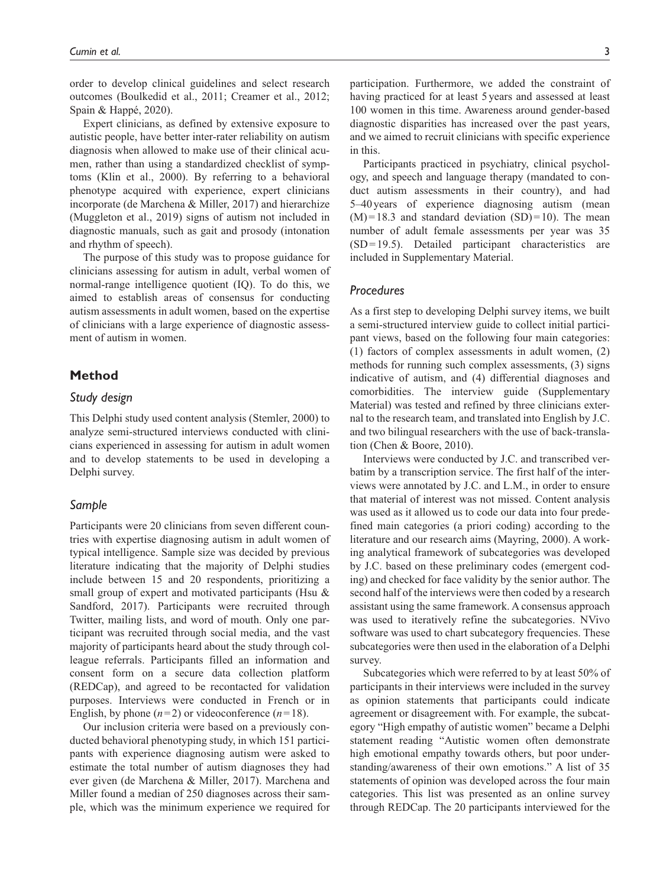order to develop clinical guidelines and select research outcomes (Boulkedid et al., 2011; Creamer et al., 2012; Spain & Happé, 2020).

Expert clinicians, as defined by extensive exposure to autistic people, have better inter-rater reliability on autism diagnosis when allowed to make use of their clinical acumen, rather than using a standardized checklist of symptoms (Klin et al., 2000). By referring to a behavioral phenotype acquired with experience, expert clinicians incorporate (de Marchena & Miller, 2017) and hierarchize (Muggleton et al., 2019) signs of autism not included in diagnostic manuals, such as gait and prosody (intonation and rhythm of speech).

The purpose of this study was to propose guidance for clinicians assessing for autism in adult, verbal women of normal-range intelligence quotient (IQ). To do this, we aimed to establish areas of consensus for conducting autism assessments in adult women, based on the expertise of clinicians with a large experience of diagnostic assessment of autism in women.

## **Method**

## *Study design*

This Delphi study used content analysis (Stemler, 2000) to analyze semi-structured interviews conducted with clinicians experienced in assessing for autism in adult women and to develop statements to be used in developing a Delphi survey.

## *Sample*

Participants were 20 clinicians from seven different countries with expertise diagnosing autism in adult women of typical intelligence. Sample size was decided by previous literature indicating that the majority of Delphi studies include between 15 and 20 respondents, prioritizing a small group of expert and motivated participants (Hsu & Sandford, 2017). Participants were recruited through Twitter, mailing lists, and word of mouth. Only one participant was recruited through social media, and the vast majority of participants heard about the study through colleague referrals. Participants filled an information and consent form on a secure data collection platform (REDCap), and agreed to be recontacted for validation purposes. Interviews were conducted in French or in English, by phone  $(n=2)$  or videoconference  $(n=18)$ .

Our inclusion criteria were based on a previously conducted behavioral phenotyping study, in which 151 participants with experience diagnosing autism were asked to estimate the total number of autism diagnoses they had ever given (de Marchena & Miller, 2017). Marchena and Miller found a median of 250 diagnoses across their sample, which was the minimum experience we required for participation. Furthermore, we added the constraint of having practiced for at least 5 years and assessed at least 100 women in this time. Awareness around gender-based diagnostic disparities has increased over the past years, and we aimed to recruit clinicians with specific experience in this.

Participants practiced in psychiatry, clinical psychology, and speech and language therapy (mandated to conduct autism assessments in their country), and had 5–40years of experience diagnosing autism (mean  $(M)$ =18.3 and standard deviation  $(SD)$ =10). The mean number of adult female assessments per year was 35 (SD=19.5). Detailed participant characteristics are included in Supplementary Material.

## *Procedures*

As a first step to developing Delphi survey items, we built a semi-structured interview guide to collect initial participant views, based on the following four main categories: (1) factors of complex assessments in adult women, (2) methods for running such complex assessments, (3) signs indicative of autism, and (4) differential diagnoses and comorbidities. The interview guide (Supplementary Material) was tested and refined by three clinicians external to the research team, and translated into English by J.C. and two bilingual researchers with the use of back-translation (Chen & Boore, 2010).

Interviews were conducted by J.C. and transcribed verbatim by a transcription service. The first half of the interviews were annotated by J.C. and L.M., in order to ensure that material of interest was not missed. Content analysis was used as it allowed us to code our data into four predefined main categories (a priori coding) according to the literature and our research aims (Mayring, 2000). A working analytical framework of subcategories was developed by J.C. based on these preliminary codes (emergent coding) and checked for face validity by the senior author. The second half of the interviews were then coded by a research assistant using the same framework. A consensus approach was used to iteratively refine the subcategories. NVivo software was used to chart subcategory frequencies. These subcategories were then used in the elaboration of a Delphi survey.

Subcategories which were referred to by at least 50% of participants in their interviews were included in the survey as opinion statements that participants could indicate agreement or disagreement with. For example, the subcategory "High empathy of autistic women" became a Delphi statement reading "Autistic women often demonstrate high emotional empathy towards others, but poor understanding/awareness of their own emotions." A list of 35 statements of opinion was developed across the four main categories. This list was presented as an online survey through REDCap. The 20 participants interviewed for the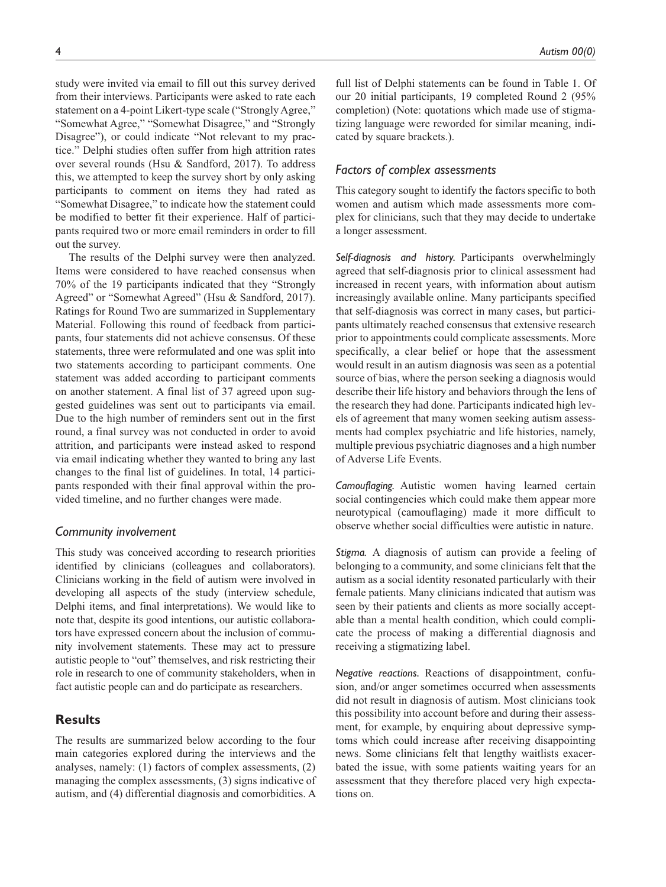study were invited via email to fill out this survey derived from their interviews. Participants were asked to rate each statement on a 4-point Likert-type scale ("Strongly Agree," "Somewhat Agree," "Somewhat Disagree," and "Strongly Disagree"), or could indicate "Not relevant to my practice." Delphi studies often suffer from high attrition rates over several rounds (Hsu & Sandford, 2017). To address this, we attempted to keep the survey short by only asking participants to comment on items they had rated as "Somewhat Disagree," to indicate how the statement could be modified to better fit their experience. Half of participants required two or more email reminders in order to fill out the survey.

The results of the Delphi survey were then analyzed. Items were considered to have reached consensus when 70% of the 19 participants indicated that they "Strongly Agreed" or "Somewhat Agreed" (Hsu & Sandford, 2017). Ratings for Round Two are summarized in Supplementary Material. Following this round of feedback from participants, four statements did not achieve consensus. Of these statements, three were reformulated and one was split into two statements according to participant comments. One statement was added according to participant comments on another statement. A final list of 37 agreed upon suggested guidelines was sent out to participants via email. Due to the high number of reminders sent out in the first round, a final survey was not conducted in order to avoid attrition, and participants were instead asked to respond via email indicating whether they wanted to bring any last changes to the final list of guidelines. In total, 14 participants responded with their final approval within the provided timeline, and no further changes were made.

#### *Community involvement*

This study was conceived according to research priorities identified by clinicians (colleagues and collaborators). Clinicians working in the field of autism were involved in developing all aspects of the study (interview schedule, Delphi items, and final interpretations). We would like to note that, despite its good intentions, our autistic collaborators have expressed concern about the inclusion of community involvement statements. These may act to pressure autistic people to "out" themselves, and risk restricting their role in research to one of community stakeholders, when in fact autistic people can and do participate as researchers.

## **Results**

The results are summarized below according to the four main categories explored during the interviews and the analyses, namely: (1) factors of complex assessments, (2) managing the complex assessments, (3) signs indicative of autism, and (4) differential diagnosis and comorbidities. A

full list of Delphi statements can be found in Table 1. Of our 20 initial participants, 19 completed Round 2 (95% completion) (Note: quotations which made use of stigmatizing language were reworded for similar meaning, indicated by square brackets.).

## *Factors of complex assessments*

This category sought to identify the factors specific to both women and autism which made assessments more complex for clinicians, such that they may decide to undertake a longer assessment.

*Self-diagnosis and history.* Participants overwhelmingly agreed that self-diagnosis prior to clinical assessment had increased in recent years, with information about autism increasingly available online. Many participants specified that self-diagnosis was correct in many cases, but participants ultimately reached consensus that extensive research prior to appointments could complicate assessments. More specifically, a clear belief or hope that the assessment would result in an autism diagnosis was seen as a potential source of bias, where the person seeking a diagnosis would describe their life history and behaviors through the lens of the research they had done. Participants indicated high levels of agreement that many women seeking autism assessments had complex psychiatric and life histories, namely, multiple previous psychiatric diagnoses and a high number of Adverse Life Events.

*Camouflaging.* Autistic women having learned certain social contingencies which could make them appear more neurotypical (camouflaging) made it more difficult to observe whether social difficulties were autistic in nature.

*Stigma.* A diagnosis of autism can provide a feeling of belonging to a community, and some clinicians felt that the autism as a social identity resonated particularly with their female patients. Many clinicians indicated that autism was seen by their patients and clients as more socially acceptable than a mental health condition, which could complicate the process of making a differential diagnosis and receiving a stigmatizing label.

*Negative reactions.* Reactions of disappointment, confusion, and/or anger sometimes occurred when assessments did not result in diagnosis of autism. Most clinicians took this possibility into account before and during their assessment, for example, by enquiring about depressive symptoms which could increase after receiving disappointing news. Some clinicians felt that lengthy waitlists exacerbated the issue, with some patients waiting years for an assessment that they therefore placed very high expectations on.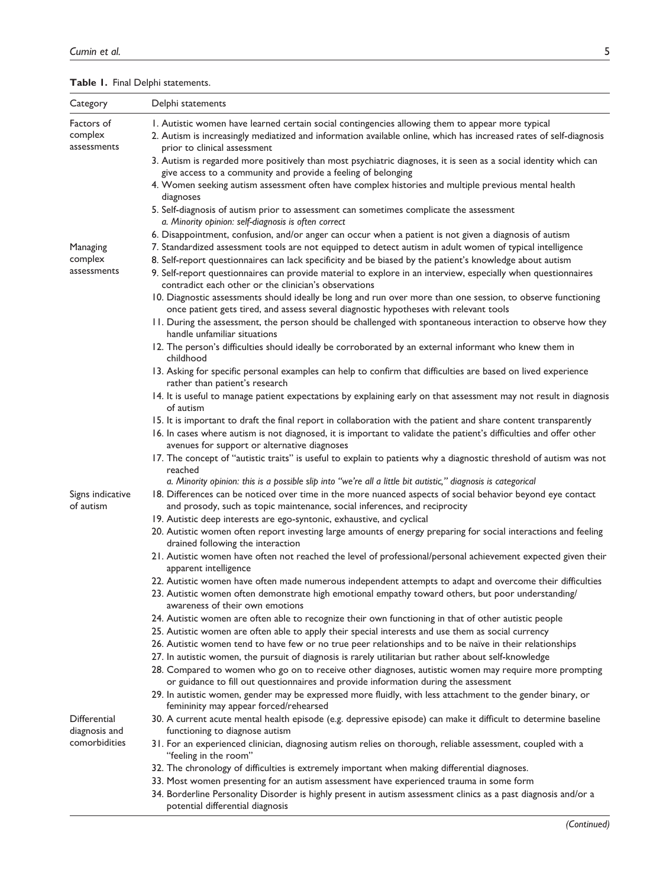| Category                             | Delphi statements                                                                                                                                                                                                                                  |
|--------------------------------------|----------------------------------------------------------------------------------------------------------------------------------------------------------------------------------------------------------------------------------------------------|
| Factors of<br>complex<br>assessments | I. Autistic women have learned certain social contingencies allowing them to appear more typical<br>2. Autism is increasingly mediatized and information available online, which has increased rates of self-diagnosis                             |
|                                      | prior to clinical assessment<br>3. Autism is regarded more positively than most psychiatric diagnoses, it is seen as a social identity which can<br>give access to a community and provide a feeling of belonging                                  |
|                                      | 4. Women seeking autism assessment often have complex histories and multiple previous mental health<br>diagnoses                                                                                                                                   |
|                                      | 5. Self-diagnosis of autism prior to assessment can sometimes complicate the assessment<br>a. Minority opinion: self-diagnosis is often correct                                                                                                    |
|                                      | 6. Disappointment, confusion, and/or anger can occur when a patient is not given a diagnosis of autism                                                                                                                                             |
| Managing<br>complex                  | 7. Standardized assessment tools are not equipped to detect autism in adult women of typical intelligence<br>8. Self-report questionnaires can lack specificity and be biased by the patient's knowledge about autism                              |
| assessments                          | 9. Self-report questionnaires can provide material to explore in an interview, especially when questionnaires<br>contradict each other or the clinician's observations                                                                             |
|                                      | 10. Diagnostic assessments should ideally be long and run over more than one session, to observe functioning<br>once patient gets tired, and assess several diagnostic hypotheses with relevant tools                                              |
|                                      | 11. During the assessment, the person should be challenged with spontaneous interaction to observe how they<br>handle unfamiliar situations                                                                                                        |
|                                      | 12. The person's difficulties should ideally be corroborated by an external informant who knew them in<br>childhood                                                                                                                                |
|                                      | 13. Asking for specific personal examples can help to confirm that difficulties are based on lived experience<br>rather than patient's research                                                                                                    |
|                                      | 14. It is useful to manage patient expectations by explaining early on that assessment may not result in diagnosis<br>of autism                                                                                                                    |
|                                      | 15. It is important to draft the final report in collaboration with the patient and share content transparently                                                                                                                                    |
|                                      | 16. In cases where autism is not diagnosed, it is important to validate the patient's difficulties and offer other<br>avenues for support or alternative diagnoses                                                                                 |
|                                      | 17. The concept of "autistic traits" is useful to explain to patients why a diagnostic threshold of autism was not<br>reached                                                                                                                      |
|                                      | a. Minority opinion: this is a possible slip into "we're all a little bit autistic," diagnosis is categorical                                                                                                                                      |
| Signs indicative<br>of autism        | 18. Differences can be noticed over time in the more nuanced aspects of social behavior beyond eye contact<br>and prosody, such as topic maintenance, social inferences, and reciprocity                                                           |
|                                      | 19. Autistic deep interests are ego-syntonic, exhaustive, and cyclical                                                                                                                                                                             |
|                                      | 20. Autistic women often report investing large amounts of energy preparing for social interactions and feeling<br>drained following the interaction                                                                                               |
|                                      | 21. Autistic women have often not reached the level of professional/personal achievement expected given their<br>apparent intelligence                                                                                                             |
|                                      | 22. Autistic women have often made numerous independent attempts to adapt and overcome their difficulties<br>23. Autistic women often demonstrate high emotional empathy toward others, but poor understanding/<br>awareness of their own emotions |
|                                      | 24. Autistic women are often able to recognize their own functioning in that of other autistic people                                                                                                                                              |
|                                      | 25. Autistic women are often able to apply their special interests and use them as social currency                                                                                                                                                 |
|                                      | 26. Autistic women tend to have few or no true peer relationships and to be naïve in their relationships                                                                                                                                           |
|                                      | 27. In autistic women, the pursuit of diagnosis is rarely utilitarian but rather about self-knowledge                                                                                                                                              |
|                                      | 28. Compared to women who go on to receive other diagnoses, autistic women may require more prompting<br>or guidance to fill out questionnaires and provide information during the assessment                                                      |
|                                      | 29. In autistic women, gender may be expressed more fluidly, with less attachment to the gender binary, or<br>femininity may appear forced/rehearsed                                                                                               |
| Differential                         | 30. A current acute mental health episode (e.g. depressive episode) can make it difficult to determine baseline                                                                                                                                    |
| diagnosis and<br>comorbidities       | functioning to diagnose autism                                                                                                                                                                                                                     |
|                                      | 31. For an experienced clinician, diagnosing autism relies on thorough, reliable assessment, coupled with a<br>"feeling in the room"                                                                                                               |
|                                      | 32. The chronology of difficulties is extremely important when making differential diagnoses.                                                                                                                                                      |
|                                      | 33. Most women presenting for an autism assessment have experienced trauma in some form                                                                                                                                                            |
|                                      | 34. Borderline Personality Disorder is highly present in autism assessment clinics as a past diagnosis and/or a<br>potential differential diagnosis                                                                                                |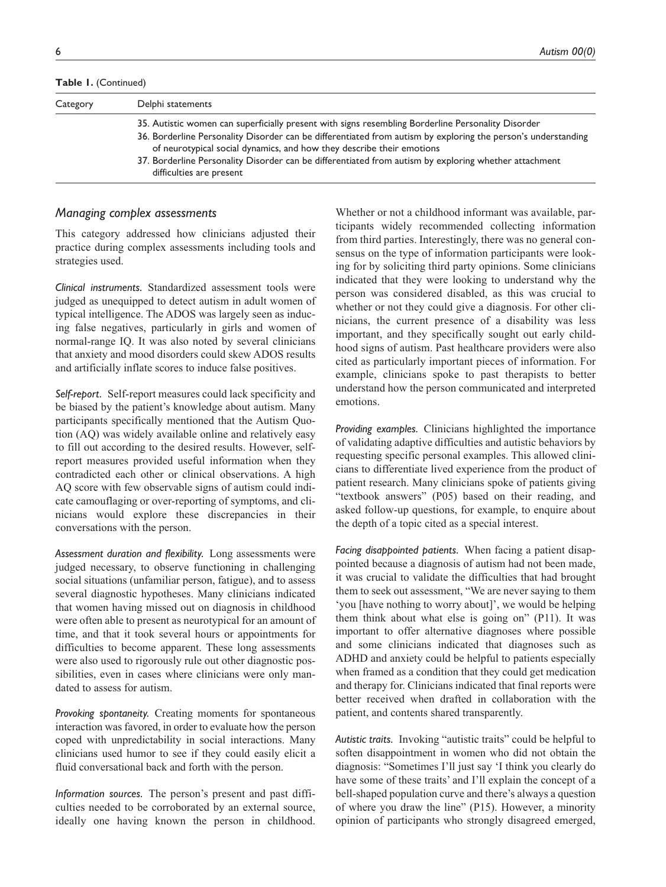**Table 1.** (Continued)

| Category | Delphi statements                                                                                                                                                                                                                                                                                                                                                                                     |
|----------|-------------------------------------------------------------------------------------------------------------------------------------------------------------------------------------------------------------------------------------------------------------------------------------------------------------------------------------------------------------------------------------------------------|
|          | 35. Autistic women can superficially present with signs resembling Borderline Personality Disorder<br>36. Borderline Personality Disorder can be differentiated from autism by exploring the person's understanding<br>of neurotypical social dynamics, and how they describe their emotions<br>37. Borderline Personality Disorder can be differentiated from autism by exploring whether attachment |
|          | difficulties are present                                                                                                                                                                                                                                                                                                                                                                              |

## *Managing complex assessments*

This category addressed how clinicians adjusted their practice during complex assessments including tools and strategies used.

*Clinical instruments.* Standardized assessment tools were judged as unequipped to detect autism in adult women of typical intelligence. The ADOS was largely seen as inducing false negatives, particularly in girls and women of normal-range IQ. It was also noted by several clinicians that anxiety and mood disorders could skew ADOS results and artificially inflate scores to induce false positives.

*Self-report.* Self-report measures could lack specificity and be biased by the patient's knowledge about autism. Many participants specifically mentioned that the Autism Quotion (AQ) was widely available online and relatively easy to fill out according to the desired results. However, selfreport measures provided useful information when they contradicted each other or clinical observations. A high AQ score with few observable signs of autism could indicate camouflaging or over-reporting of symptoms, and clinicians would explore these discrepancies in their conversations with the person.

*Assessment duration and flexibility.* Long assessments were judged necessary, to observe functioning in challenging social situations (unfamiliar person, fatigue), and to assess several diagnostic hypotheses. Many clinicians indicated that women having missed out on diagnosis in childhood were often able to present as neurotypical for an amount of time, and that it took several hours or appointments for difficulties to become apparent. These long assessments were also used to rigorously rule out other diagnostic possibilities, even in cases where clinicians were only mandated to assess for autism.

*Provoking spontaneity.* Creating moments for spontaneous interaction was favored, in order to evaluate how the person coped with unpredictability in social interactions. Many clinicians used humor to see if they could easily elicit a fluid conversational back and forth with the person.

*Information sources.* The person's present and past difficulties needed to be corroborated by an external source, ideally one having known the person in childhood.

Whether or not a childhood informant was available, participants widely recommended collecting information from third parties. Interestingly, there was no general consensus on the type of information participants were looking for by soliciting third party opinions. Some clinicians indicated that they were looking to understand why the person was considered disabled, as this was crucial to whether or not they could give a diagnosis. For other clinicians, the current presence of a disability was less important, and they specifically sought out early childhood signs of autism. Past healthcare providers were also cited as particularly important pieces of information. For example, clinicians spoke to past therapists to better understand how the person communicated and interpreted emotions.

*Providing examples.* Clinicians highlighted the importance of validating adaptive difficulties and autistic behaviors by requesting specific personal examples. This allowed clinicians to differentiate lived experience from the product of patient research. Many clinicians spoke of patients giving "textbook answers" (P05) based on their reading, and asked follow-up questions, for example, to enquire about the depth of a topic cited as a special interest.

*Facing disappointed patients.* When facing a patient disappointed because a diagnosis of autism had not been made, it was crucial to validate the difficulties that had brought them to seek out assessment, "We are never saying to them 'you [have nothing to worry about]', we would be helping them think about what else is going on" (P11). It was important to offer alternative diagnoses where possible and some clinicians indicated that diagnoses such as ADHD and anxiety could be helpful to patients especially when framed as a condition that they could get medication and therapy for. Clinicians indicated that final reports were better received when drafted in collaboration with the patient, and contents shared transparently.

*Autistic traits.* Invoking "autistic traits" could be helpful to soften disappointment in women who did not obtain the diagnosis: "Sometimes I'll just say 'I think you clearly do have some of these traits' and I'll explain the concept of a bell-shaped population curve and there's always a question of where you draw the line" (P15). However, a minority opinion of participants who strongly disagreed emerged,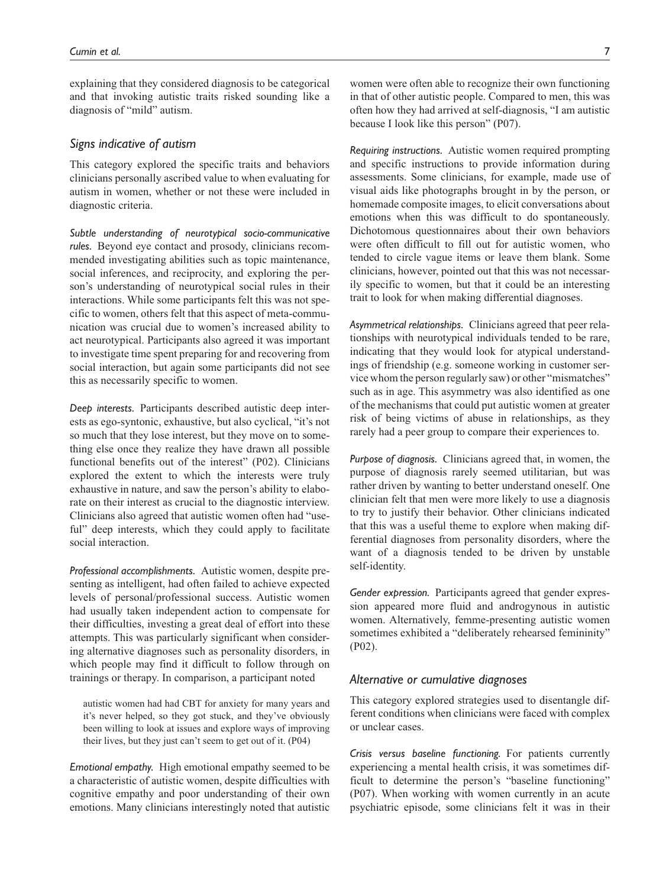explaining that they considered diagnosis to be categorical and that invoking autistic traits risked sounding like a diagnosis of "mild" autism.

## *Signs indicative of autism*

This category explored the specific traits and behaviors clinicians personally ascribed value to when evaluating for autism in women, whether or not these were included in diagnostic criteria.

*Subtle understanding of neurotypical socio-communicative rules.* Beyond eye contact and prosody, clinicians recommended investigating abilities such as topic maintenance, social inferences, and reciprocity, and exploring the person's understanding of neurotypical social rules in their interactions. While some participants felt this was not specific to women, others felt that this aspect of meta-communication was crucial due to women's increased ability to act neurotypical. Participants also agreed it was important to investigate time spent preparing for and recovering from social interaction, but again some participants did not see this as necessarily specific to women.

*Deep interests.* Participants described autistic deep interests as ego-syntonic, exhaustive, but also cyclical, "it's not so much that they lose interest, but they move on to something else once they realize they have drawn all possible functional benefits out of the interest" (P02). Clinicians explored the extent to which the interests were truly exhaustive in nature, and saw the person's ability to elaborate on their interest as crucial to the diagnostic interview. Clinicians also agreed that autistic women often had "useful" deep interests, which they could apply to facilitate social interaction.

*Professional accomplishments.* Autistic women, despite presenting as intelligent, had often failed to achieve expected levels of personal/professional success. Autistic women had usually taken independent action to compensate for their difficulties, investing a great deal of effort into these attempts. This was particularly significant when considering alternative diagnoses such as personality disorders, in which people may find it difficult to follow through on trainings or therapy. In comparison, a participant noted

autistic women had had CBT for anxiety for many years and it's never helped, so they got stuck, and they've obviously been willing to look at issues and explore ways of improving their lives, but they just can't seem to get out of it. (P04)

*Emotional empathy.* High emotional empathy seemed to be a characteristic of autistic women, despite difficulties with cognitive empathy and poor understanding of their own emotions. Many clinicians interestingly noted that autistic women were often able to recognize their own functioning in that of other autistic people. Compared to men, this was often how they had arrived at self-diagnosis, "I am autistic because I look like this person" (P07).

*Requiring instructions.* Autistic women required prompting and specific instructions to provide information during assessments. Some clinicians, for example, made use of visual aids like photographs brought in by the person, or homemade composite images, to elicit conversations about emotions when this was difficult to do spontaneously. Dichotomous questionnaires about their own behaviors were often difficult to fill out for autistic women, who tended to circle vague items or leave them blank. Some clinicians, however, pointed out that this was not necessarily specific to women, but that it could be an interesting trait to look for when making differential diagnoses.

*Asymmetrical relationships.* Clinicians agreed that peer relationships with neurotypical individuals tended to be rare, indicating that they would look for atypical understandings of friendship (e.g. someone working in customer service whom the person regularly saw) or other "mismatches" such as in age. This asymmetry was also identified as one of the mechanisms that could put autistic women at greater risk of being victims of abuse in relationships, as they rarely had a peer group to compare their experiences to.

*Purpose of diagnosis.* Clinicians agreed that, in women, the purpose of diagnosis rarely seemed utilitarian, but was rather driven by wanting to better understand oneself. One clinician felt that men were more likely to use a diagnosis to try to justify their behavior. Other clinicians indicated that this was a useful theme to explore when making differential diagnoses from personality disorders, where the want of a diagnosis tended to be driven by unstable self-identity.

*Gender expression.* Participants agreed that gender expression appeared more fluid and androgynous in autistic women. Alternatively, femme-presenting autistic women sometimes exhibited a "deliberately rehearsed femininity" (P02).

## *Alternative or cumulative diagnoses*

This category explored strategies used to disentangle different conditions when clinicians were faced with complex or unclear cases.

*Crisis versus baseline functioning.* For patients currently experiencing a mental health crisis, it was sometimes difficult to determine the person's "baseline functioning" (P07). When working with women currently in an acute psychiatric episode, some clinicians felt it was in their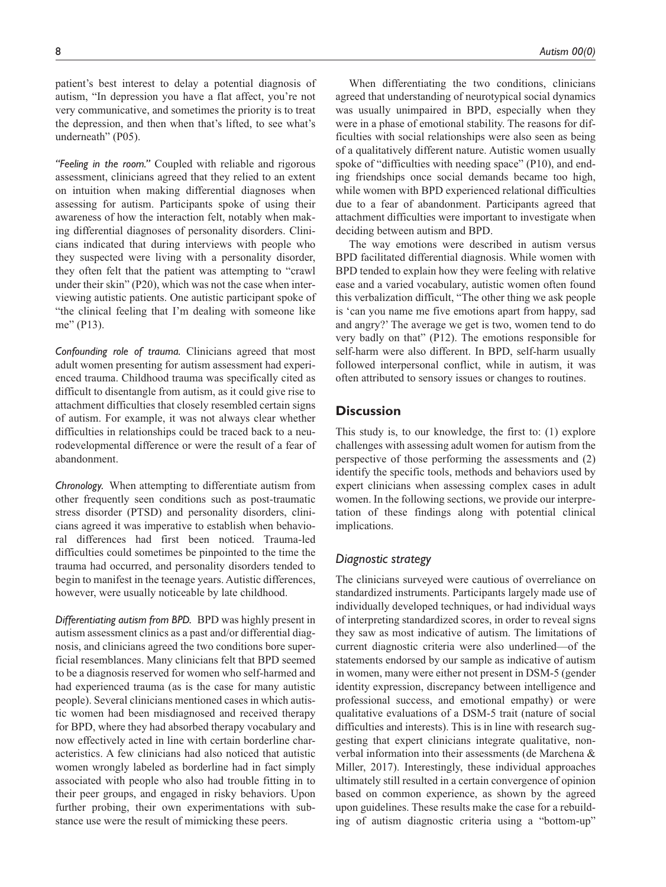patient's best interest to delay a potential diagnosis of autism, "In depression you have a flat affect, you're not very communicative, and sometimes the priority is to treat the depression, and then when that's lifted, to see what's underneath" (P05).

*"Feeling in the room."* Coupled with reliable and rigorous assessment, clinicians agreed that they relied to an extent on intuition when making differential diagnoses when assessing for autism. Participants spoke of using their awareness of how the interaction felt, notably when making differential diagnoses of personality disorders. Clinicians indicated that during interviews with people who they suspected were living with a personality disorder, they often felt that the patient was attempting to "crawl under their skin" (P20), which was not the case when interviewing autistic patients. One autistic participant spoke of "the clinical feeling that I'm dealing with someone like me" (P13).

*Confounding role of trauma.* Clinicians agreed that most adult women presenting for autism assessment had experienced trauma. Childhood trauma was specifically cited as difficult to disentangle from autism, as it could give rise to attachment difficulties that closely resembled certain signs of autism. For example, it was not always clear whether difficulties in relationships could be traced back to a neurodevelopmental difference or were the result of a fear of abandonment.

*Chronology.* When attempting to differentiate autism from other frequently seen conditions such as post-traumatic stress disorder (PTSD) and personality disorders, clinicians agreed it was imperative to establish when behavioral differences had first been noticed. Trauma-led difficulties could sometimes be pinpointed to the time the trauma had occurred, and personality disorders tended to begin to manifest in the teenage years. Autistic differences, however, were usually noticeable by late childhood.

*Differentiating autism from BPD.* BPD was highly present in autism assessment clinics as a past and/or differential diagnosis, and clinicians agreed the two conditions bore superficial resemblances. Many clinicians felt that BPD seemed to be a diagnosis reserved for women who self-harmed and had experienced trauma (as is the case for many autistic people). Several clinicians mentioned cases in which autistic women had been misdiagnosed and received therapy for BPD, where they had absorbed therapy vocabulary and now effectively acted in line with certain borderline characteristics. A few clinicians had also noticed that autistic women wrongly labeled as borderline had in fact simply associated with people who also had trouble fitting in to their peer groups, and engaged in risky behaviors. Upon further probing, their own experimentations with substance use were the result of mimicking these peers.

When differentiating the two conditions, clinicians agreed that understanding of neurotypical social dynamics was usually unimpaired in BPD, especially when they were in a phase of emotional stability. The reasons for difficulties with social relationships were also seen as being of a qualitatively different nature. Autistic women usually spoke of "difficulties with needing space" (P10), and ending friendships once social demands became too high, while women with BPD experienced relational difficulties due to a fear of abandonment. Participants agreed that attachment difficulties were important to investigate when deciding between autism and BPD.

The way emotions were described in autism versus BPD facilitated differential diagnosis. While women with BPD tended to explain how they were feeling with relative ease and a varied vocabulary, autistic women often found this verbalization difficult, "The other thing we ask people is 'can you name me five emotions apart from happy, sad and angry?' The average we get is two, women tend to do very badly on that" (P12). The emotions responsible for self-harm were also different. In BPD, self-harm usually followed interpersonal conflict, while in autism, it was often attributed to sensory issues or changes to routines.

## **Discussion**

This study is, to our knowledge, the first to: (1) explore challenges with assessing adult women for autism from the perspective of those performing the assessments and (2) identify the specific tools, methods and behaviors used by expert clinicians when assessing complex cases in adult women. In the following sections, we provide our interpretation of these findings along with potential clinical implications.

## *Diagnostic strategy*

The clinicians surveyed were cautious of overreliance on standardized instruments. Participants largely made use of individually developed techniques, or had individual ways of interpreting standardized scores, in order to reveal signs they saw as most indicative of autism. The limitations of current diagnostic criteria were also underlined—of the statements endorsed by our sample as indicative of autism in women, many were either not present in DSM-5 (gender identity expression, discrepancy between intelligence and professional success, and emotional empathy) or were qualitative evaluations of a DSM-5 trait (nature of social difficulties and interests). This is in line with research suggesting that expert clinicians integrate qualitative, nonverbal information into their assessments (de Marchena & Miller, 2017). Interestingly, these individual approaches ultimately still resulted in a certain convergence of opinion based on common experience, as shown by the agreed upon guidelines. These results make the case for a rebuilding of autism diagnostic criteria using a "bottom-up"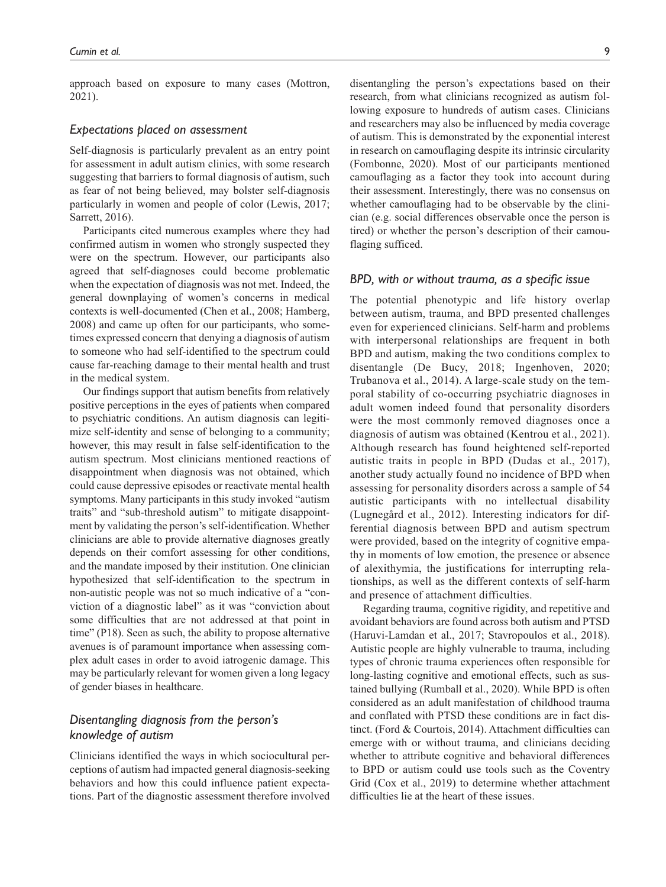approach based on exposure to many cases (Mottron, 2021).

## *Expectations placed on assessment*

Self-diagnosis is particularly prevalent as an entry point for assessment in adult autism clinics, with some research suggesting that barriers to formal diagnosis of autism, such as fear of not being believed, may bolster self-diagnosis particularly in women and people of color (Lewis, 2017; Sarrett, 2016).

Participants cited numerous examples where they had confirmed autism in women who strongly suspected they were on the spectrum. However, our participants also agreed that self-diagnoses could become problematic when the expectation of diagnosis was not met. Indeed, the general downplaying of women's concerns in medical contexts is well-documented (Chen et al., 2008; Hamberg, 2008) and came up often for our participants, who sometimes expressed concern that denying a diagnosis of autism to someone who had self-identified to the spectrum could cause far-reaching damage to their mental health and trust in the medical system.

Our findings support that autism benefits from relatively positive perceptions in the eyes of patients when compared to psychiatric conditions. An autism diagnosis can legitimize self-identity and sense of belonging to a community; however, this may result in false self-identification to the autism spectrum. Most clinicians mentioned reactions of disappointment when diagnosis was not obtained, which could cause depressive episodes or reactivate mental health symptoms. Many participants in this study invoked "autism traits" and "sub-threshold autism" to mitigate disappointment by validating the person's self-identification. Whether clinicians are able to provide alternative diagnoses greatly depends on their comfort assessing for other conditions, and the mandate imposed by their institution. One clinician hypothesized that self-identification to the spectrum in non-autistic people was not so much indicative of a "conviction of a diagnostic label" as it was "conviction about some difficulties that are not addressed at that point in time" (P18). Seen as such, the ability to propose alternative avenues is of paramount importance when assessing complex adult cases in order to avoid iatrogenic damage. This may be particularly relevant for women given a long legacy of gender biases in healthcare.

## *Disentangling diagnosis from the person's knowledge of autism*

Clinicians identified the ways in which sociocultural perceptions of autism had impacted general diagnosis-seeking behaviors and how this could influence patient expectations. Part of the diagnostic assessment therefore involved disentangling the person's expectations based on their research, from what clinicians recognized as autism following exposure to hundreds of autism cases. Clinicians and researchers may also be influenced by media coverage of autism. This is demonstrated by the exponential interest in research on camouflaging despite its intrinsic circularity (Fombonne, 2020). Most of our participants mentioned camouflaging as a factor they took into account during their assessment. Interestingly, there was no consensus on whether camouflaging had to be observable by the clinician (e.g. social differences observable once the person is tired) or whether the person's description of their camouflaging sufficed.

## *BPD, with or without trauma, as a specific issue*

The potential phenotypic and life history overlap between autism, trauma, and BPD presented challenges even for experienced clinicians. Self-harm and problems with interpersonal relationships are frequent in both BPD and autism, making the two conditions complex to disentangle (De Bucy, 2018; Ingenhoven, 2020; Trubanova et al., 2014). A large-scale study on the temporal stability of co-occurring psychiatric diagnoses in adult women indeed found that personality disorders were the most commonly removed diagnoses once a diagnosis of autism was obtained (Kentrou et al., 2021). Although research has found heightened self-reported autistic traits in people in BPD (Dudas et al., 2017), another study actually found no incidence of BPD when assessing for personality disorders across a sample of 54 autistic participants with no intellectual disability (Lugnegård et al., 2012). Interesting indicators for differential diagnosis between BPD and autism spectrum were provided, based on the integrity of cognitive empathy in moments of low emotion, the presence or absence of alexithymia, the justifications for interrupting relationships, as well as the different contexts of self-harm and presence of attachment difficulties.

Regarding trauma, cognitive rigidity, and repetitive and avoidant behaviors are found across both autism and PTSD (Haruvi-Lamdan et al., 2017; Stavropoulos et al., 2018). Autistic people are highly vulnerable to trauma, including types of chronic trauma experiences often responsible for long-lasting cognitive and emotional effects, such as sustained bullying (Rumball et al., 2020). While BPD is often considered as an adult manifestation of childhood trauma and conflated with PTSD these conditions are in fact distinct. (Ford & Courtois, 2014). Attachment difficulties can emerge with or without trauma, and clinicians deciding whether to attribute cognitive and behavioral differences to BPD or autism could use tools such as the Coventry Grid (Cox et al., 2019) to determine whether attachment difficulties lie at the heart of these issues.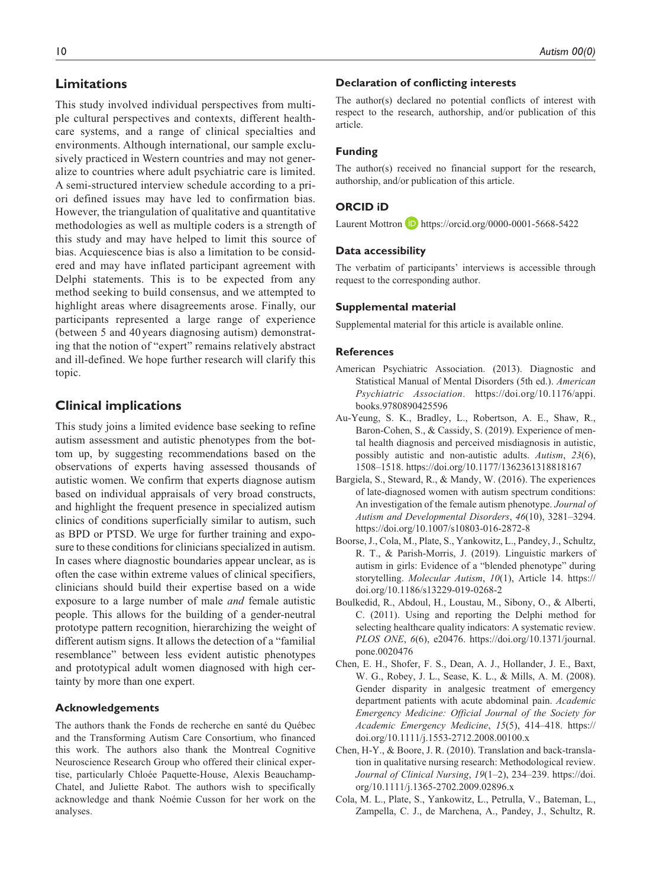## **Limitations**

This study involved individual perspectives from multiple cultural perspectives and contexts, different healthcare systems, and a range of clinical specialties and environments. Although international, our sample exclusively practiced in Western countries and may not generalize to countries where adult psychiatric care is limited. A semi-structured interview schedule according to a priori defined issues may have led to confirmation bias. However, the triangulation of qualitative and quantitative methodologies as well as multiple coders is a strength of this study and may have helped to limit this source of bias. Acquiescence bias is also a limitation to be considered and may have inflated participant agreement with Delphi statements. This is to be expected from any method seeking to build consensus, and we attempted to highlight areas where disagreements arose. Finally, our participants represented a large range of experience (between 5 and 40 years diagnosing autism) demonstrating that the notion of "expert" remains relatively abstract and ill-defined. We hope further research will clarify this topic.

## **Clinical implications**

This study joins a limited evidence base seeking to refine autism assessment and autistic phenotypes from the bottom up, by suggesting recommendations based on the observations of experts having assessed thousands of autistic women. We confirm that experts diagnose autism based on individual appraisals of very broad constructs, and highlight the frequent presence in specialized autism clinics of conditions superficially similar to autism, such as BPD or PTSD. We urge for further training and exposure to these conditions for clinicians specialized in autism. In cases where diagnostic boundaries appear unclear, as is often the case within extreme values of clinical specifiers, clinicians should build their expertise based on a wide exposure to a large number of male *and* female autistic people. This allows for the building of a gender-neutral prototype pattern recognition, hierarchizing the weight of different autism signs. It allows the detection of a "familial resemblance" between less evident autistic phenotypes and prototypical adult women diagnosed with high certainty by more than one expert.

#### **Acknowledgements**

The authors thank the Fonds de recherche en santé du Québec and the Transforming Autism Care Consortium, who financed this work. The authors also thank the Montreal Cognitive Neuroscience Research Group who offered their clinical expertise, particularly Chloée Paquette-House, Alexis Beauchamp-Chatel, and Juliette Rabot. The authors wish to specifically acknowledge and thank Noémie Cusson for her work on the analyses.

#### **Declaration of conflicting interests**

The author(s) declared no potential conflicts of interest with respect to the research, authorship, and/or publication of this article.

## **Funding**

The author(s) received no financial support for the research, authorship, and/or publication of this article.

## **ORCID iD**

Laurent Mottron **b** <https://orcid.org/0000-0001-5668-5422>

## **Data accessibility**

The verbatim of participants' interviews is accessible through request to the corresponding author.

#### **Supplemental material**

Supplemental material for this article is available online.

## **References**

- American Psychiatric Association. (2013). Diagnostic and Statistical Manual of Mental Disorders (5th ed.). *American Psychiatric Association*. [https://doi.org/10.1176/appi.](https://doi.org/10.1176/appi.books.9780890425596) [books.9780890425596](https://doi.org/10.1176/appi.books.9780890425596)
- Au-Yeung, S. K., Bradley, L., Robertson, A. E., Shaw, R., Baron-Cohen, S., & Cassidy, S. (2019). Experience of mental health diagnosis and perceived misdiagnosis in autistic, possibly autistic and non-autistic adults. *Autism*, *23*(6), 1508–1518.<https://doi.org/10.1177/1362361318818167>
- Bargiela, S., Steward, R., & Mandy, W. (2016). The experiences of late-diagnosed women with autism spectrum conditions: An investigation of the female autism phenotype. *Journal of Autism and Developmental Disorders*, *46*(10), 3281–3294. <https://doi.org/10.1007/s10803-016-2872-8>
- Boorse, J., Cola, M., Plate, S., Yankowitz, L., Pandey, J., Schultz, R. T., & Parish-Morris, J. (2019). Linguistic markers of autism in girls: Evidence of a "blended phenotype" during storytelling. *Molecular Autism*, *10*(1), Article 14. [https://](https://doi.org/10.1186/s13229-019-0268-2) [doi.org/10.1186/s13229-019-0268-2](https://doi.org/10.1186/s13229-019-0268-2)
- Boulkedid, R., Abdoul, H., Loustau, M., Sibony, O., & Alberti, C. (2011). Using and reporting the Delphi method for selecting healthcare quality indicators: A systematic review. *PLOS ONE*, *6*(6), e20476. [https://doi.org/10.1371/journal.](https://doi.org/10.1371/journal.pone.0020476) [pone.0020476](https://doi.org/10.1371/journal.pone.0020476)
- Chen, E. H., Shofer, F. S., Dean, A. J., Hollander, J. E., Baxt, W. G., Robey, J. L., Sease, K. L., & Mills, A. M. (2008). Gender disparity in analgesic treatment of emergency department patients with acute abdominal pain. *Academic Emergency Medicine: Official Journal of the Society for Academic Emergency Medicine*, *15*(5), 414–418. [https://](https://doi.org/10.1111/j.1553-2712.2008.00100.x) [doi.org/10.1111/j.1553-2712.2008.00100.x](https://doi.org/10.1111/j.1553-2712.2008.00100.x)
- Chen, H-Y., & Boore, J. R. (2010). Translation and back-translation in qualitative nursing research: Methodological review. *Journal of Clinical Nursing*, *19*(1–2), 234–239. [https://doi.](https://doi.org/10.1111/j.1365-2702.2009.02896.x) [org/10.1111/j.1365-2702.2009.02896.x](https://doi.org/10.1111/j.1365-2702.2009.02896.x)
- Cola, M. L., Plate, S., Yankowitz, L., Petrulla, V., Bateman, L., Zampella, C. J., de Marchena, A., Pandey, J., Schultz, R.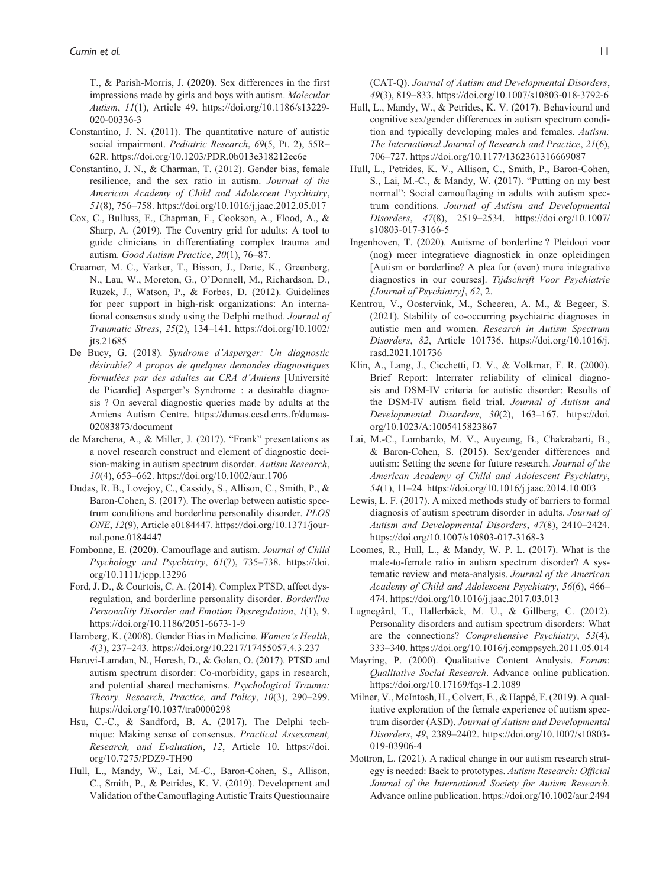T., & Parish-Morris, J. (2020). Sex differences in the first impressions made by girls and boys with autism. *Molecular Autism*, *11*(1), Article 49. [https://doi.org/10.1186/s13229-](https://doi.org/10.1186/s13229-020-00336-3) [020-00336-3](https://doi.org/10.1186/s13229-020-00336-3)

- Constantino, J. N. (2011). The quantitative nature of autistic social impairment. *Pediatric Research*, *69*(5, Pt. 2), 55R– 62R. <https://doi.org/10.1203/PDR.0b013e318212ec6e>
- Constantino, J. N., & Charman, T. (2012). Gender bias, female resilience, and the sex ratio in autism. *Journal of the American Academy of Child and Adolescent Psychiatry*, *51*(8), 756–758.<https://doi.org/10.1016/j.jaac.2012.05.017>
- Cox, C., Bulluss, E., Chapman, F., Cookson, A., Flood, A., & Sharp, A. (2019). The Coventry grid for adults: A tool to guide clinicians in differentiating complex trauma and autism. *Good Autism Practice*, *20*(1), 76–87.
- Creamer, M. C., Varker, T., Bisson, J., Darte, K., Greenberg, N., Lau, W., Moreton, G., O'Donnell, M., Richardson, D., Ruzek, J., Watson, P., & Forbes, D. (2012). Guidelines for peer support in high-risk organizations: An international consensus study using the Delphi method. *Journal of Traumatic Stress*, *25*(2), 134–141. [https://doi.org/10.1002/](https://doi.org/10.1002/jts.21685) [jts.21685](https://doi.org/10.1002/jts.21685)
- De Bucy, G. (2018). *Syndrome d'Asperger: Un diagnostic désirable? A propos de quelques demandes diagnostiques formulées par des adultes au CRA d'Amiens* [Université de Picardie] Asperger's Syndrome : a desirable diagnosis ? On several diagnostic queries made by adults at the Amiens Autism Centre. [https://dumas.ccsd.cnrs.fr/dumas-](https://dumas.ccsd.cnrs.fr/dumas-02083873/document)[02083873/document](https://dumas.ccsd.cnrs.fr/dumas-02083873/document)
- de Marchena, A., & Miller, J. (2017). "Frank" presentations as a novel research construct and element of diagnostic decision-making in autism spectrum disorder. *Autism Research*, *10*(4), 653–662.<https://doi.org/10.1002/aur.1706>
- Dudas, R. B., Lovejoy, C., Cassidy, S., Allison, C., Smith, P., & Baron-Cohen, S. (2017). The overlap between autistic spectrum conditions and borderline personality disorder. *PLOS ONE*, *12*(9), Article e0184447. [https://doi.org/10.1371/jour](https://doi.org/10.1371/journal.pone.0184447)[nal.pone.0184447](https://doi.org/10.1371/journal.pone.0184447)
- Fombonne, E. (2020). Camouflage and autism. *Journal of Child Psychology and Psychiatry*, *61*(7), 735–738. [https://doi.](https://doi.org/10.1111/jcpp.13296) [org/10.1111/jcpp.13296](https://doi.org/10.1111/jcpp.13296)
- Ford, J. D., & Courtois, C. A. (2014). Complex PTSD, affect dysregulation, and borderline personality disorder. *Borderline Personality Disorder and Emotion Dysregulation*, *1*(1), 9. <https://doi.org/10.1186/2051-6673-1-9>
- Hamberg, K. (2008). Gender Bias in Medicine. *Women's Health*, *4*(3), 237–243. <https://doi.org/10.2217/17455057.4.3.237>
- Haruvi-Lamdan, N., Horesh, D., & Golan, O. (2017). PTSD and autism spectrum disorder: Co-morbidity, gaps in research, and potential shared mechanisms. *Psychological Trauma: Theory, Research, Practice, and Policy*, *10*(3), 290–299. <https://doi.org/10.1037/tra0000298>
- Hsu, C.-C., & Sandford, B. A. (2017). The Delphi technique: Making sense of consensus. *Practical Assessment, Research, and Evaluation*, *12*, Article 10. [https://doi.](https://doi.org/10.7275/PDZ9-TH90) [org/10.7275/PDZ9-TH90](https://doi.org/10.7275/PDZ9-TH90)
- Hull, L., Mandy, W., Lai, M.-C., Baron-Cohen, S., Allison, C., Smith, P., & Petrides, K. V. (2019). Development and Validation of the Camouflaging Autistic Traits Questionnaire

(CAT-Q). *Journal of Autism and Developmental Disorders*, *49*(3), 819–833.<https://doi.org/10.1007/s10803-018-3792-6>

- Hull, L., Mandy, W., & Petrides, K. V. (2017). Behavioural and cognitive sex/gender differences in autism spectrum condition and typically developing males and females. *Autism: The International Journal of Research and Practice*, *21*(6), 706–727.<https://doi.org/10.1177/1362361316669087>
- Hull, L., Petrides, K. V., Allison, C., Smith, P., Baron-Cohen, S., Lai, M.-C., & Mandy, W. (2017). "Putting on my best normal": Social camouflaging in adults with autism spectrum conditions. *Journal of Autism and Developmental Disorders*, *47*(8), 2519–2534. [https://doi.org/10.1007/](https://doi.org/10.1007/s10803-017-3166-5) [s10803-017-3166-5](https://doi.org/10.1007/s10803-017-3166-5)
- Ingenhoven, T. (2020). Autisme of borderline ? Pleidooi voor (nog) meer integratieve diagnostiek in onze opleidingen [Autism or borderline? A plea for (even) more integrative diagnostics in our courses]. *Tijdschrift Voor Psychiatrie [Journal of Psychiatry]*, *62*, 2.
- Kentrou, V., Oostervink, M., Scheeren, A. M., & Begeer, S. (2021). Stability of co-occurring psychiatric diagnoses in autistic men and women. *Research in Autism Spectrum Disorders*, *82*, Article 101736. [https://doi.org/10.1016/j.](https://doi.org/10.1016/j.rasd.2021.101736) [rasd.2021.101736](https://doi.org/10.1016/j.rasd.2021.101736)
- Klin, A., Lang, J., Cicchetti, D. V., & Volkmar, F. R. (2000). Brief Report: Interrater reliability of clinical diagnosis and DSM-IV criteria for autistic disorder: Results of the DSM-IV autism field trial. *Journal of Autism and Developmental Disorders*, *30*(2), 163–167. [https://doi.](https://doi.org/10.1023/A:1005415823867) [org/10.1023/A:1005415823867](https://doi.org/10.1023/A:1005415823867)
- Lai, M.-C., Lombardo, M. V., Auyeung, B., Chakrabarti, B., & Baron-Cohen, S. (2015). Sex/gender differences and autism: Setting the scene for future research. *Journal of the American Academy of Child and Adolescent Psychiatry*, *54*(1), 11–24.<https://doi.org/10.1016/j.jaac.2014.10.003>
- Lewis, L. F. (2017). A mixed methods study of barriers to formal diagnosis of autism spectrum disorder in adults. *Journal of Autism and Developmental Disorders*, *47*(8), 2410–2424. <https://doi.org/10.1007/s10803-017-3168-3>
- Loomes, R., Hull, L., & Mandy, W. P. L. (2017). What is the male-to-female ratio in autism spectrum disorder? A systematic review and meta-analysis. *Journal of the American Academy of Child and Adolescent Psychiatry*, *56*(6), 466– 474.<https://doi.org/10.1016/j.jaac.2017.03.013>
- Lugnegård, T., Hallerbäck, M. U., & Gillberg, C. (2012). Personality disorders and autism spectrum disorders: What are the connections? *Comprehensive Psychiatry*, *53*(4), 333–340.<https://doi.org/10.1016/j.comppsych.2011.05.014>
- Mayring, P. (2000). Qualitative Content Analysis. *Forum*: *Qualitative Social Research*. Advance online publication. <https://doi.org/10.17169/fqs-1.2.1089>
- Milner, V., McIntosh, H., Colvert, E., & Happé, F. (2019). A qualitative exploration of the female experience of autism spectrum disorder (ASD). *Journal of Autism and Developmental Disorders*, *49*, 2389–2402. [https://doi.org/10.1007/s10803-](https://doi.org/10.1007/s10803-019-03906-4) [019-03906-4](https://doi.org/10.1007/s10803-019-03906-4)
- Mottron, L. (2021). A radical change in our autism research strategy is needed: Back to prototypes. *Autism Research: Official Journal of the International Society for Autism Research*. Advance online publication.<https://doi.org/10.1002/aur.2494>